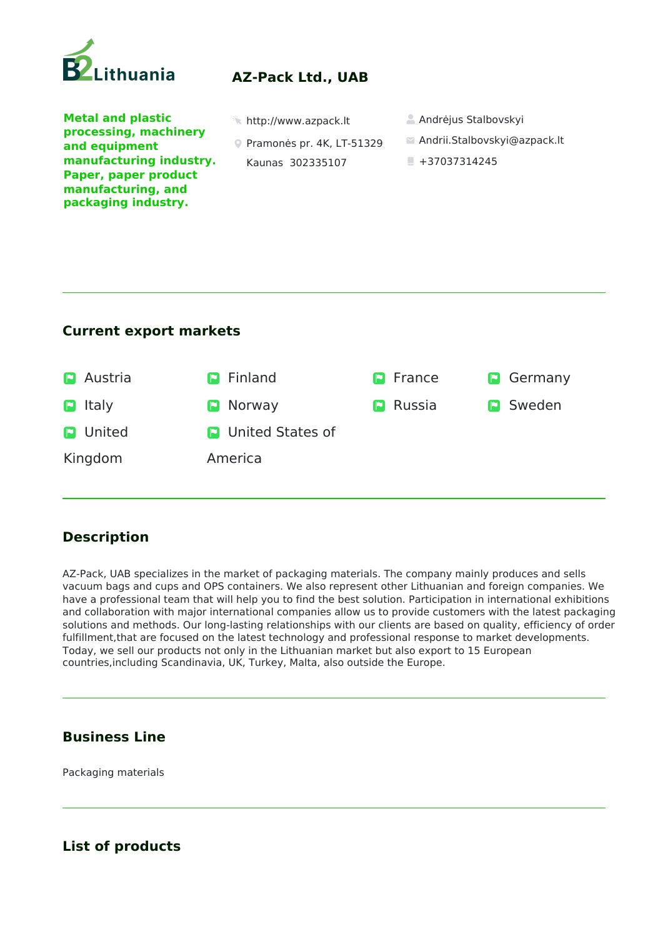

# **AZ-Pack Ltd., UAB**

**Metal and plastic processing, machinery and equipment manufacturing industry. Paper, paper product manufacturing, and packaging industry.** 

- 
- Pramonės pr. 4K, LT-51329 Kaunas 302335107
- **http://www.azpack.lt** Andrėjus Stalbovskyi
	- Andrii.Stalbovskyi@azpack.lt
	- $\blacksquare$  +37037314245

### **Current export markets**



## **Description**

AZ-Pack, UAB specializes in the market of packaging materials. The company mainly produces and sells vacuum bags and cups and OPS containers. We also represent other Lithuanian and foreign companies. We have a professional team that will help you to find the best solution. Participation in international exhibitions and collaboration with major international companies allow us to provide customers with the latest packaging solutions and methods. Our long-lasting relationships with our clients are based on quality, efficiency of order fulfillment,that are focused on the latest technology and professional response to market developments. Today, we sell our products not only in the Lithuanian market but also export to 15 European countries,including Scandinavia, UK, Turkey, Malta, also outside the Europe.

### **Business Line**

Packaging materials

#### **List of products**